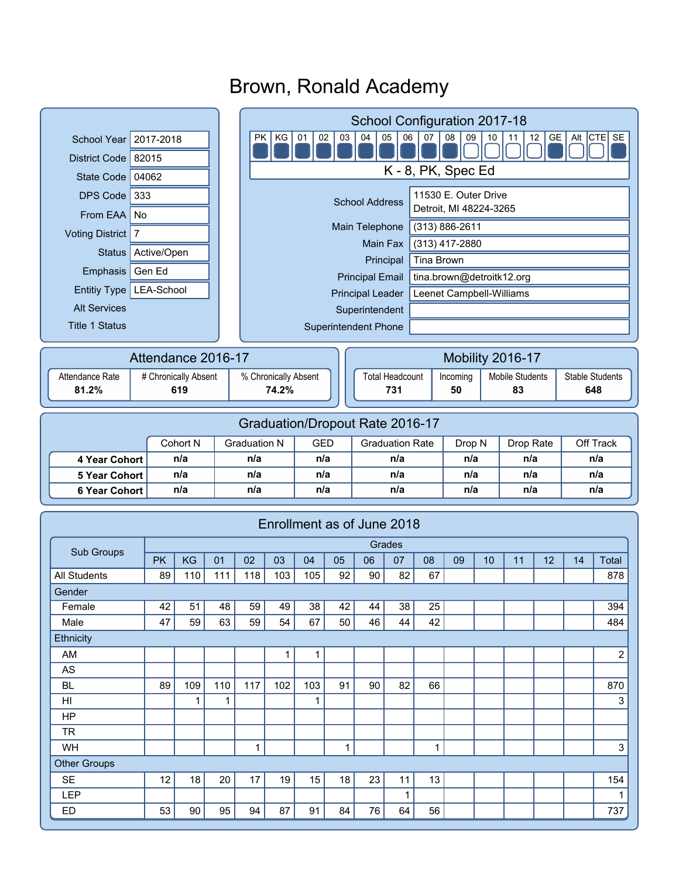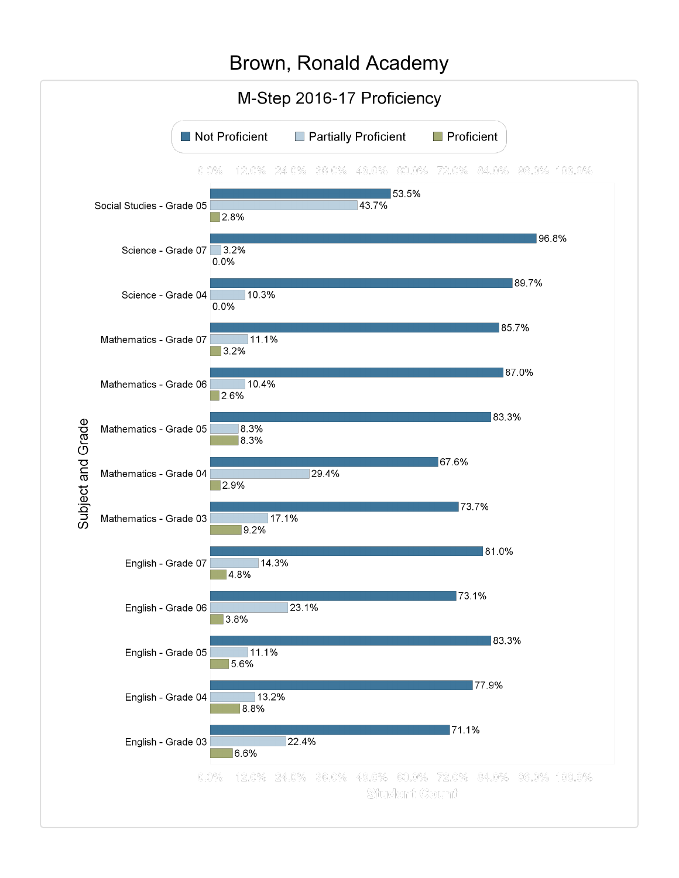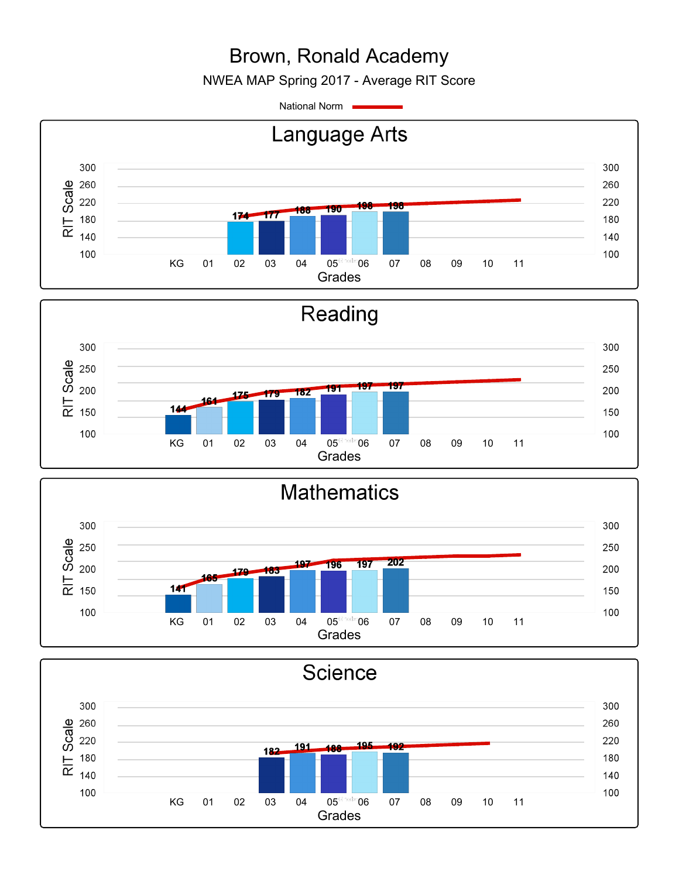NWEA MAP Spring 2017 - Average RIT Score

National Norm